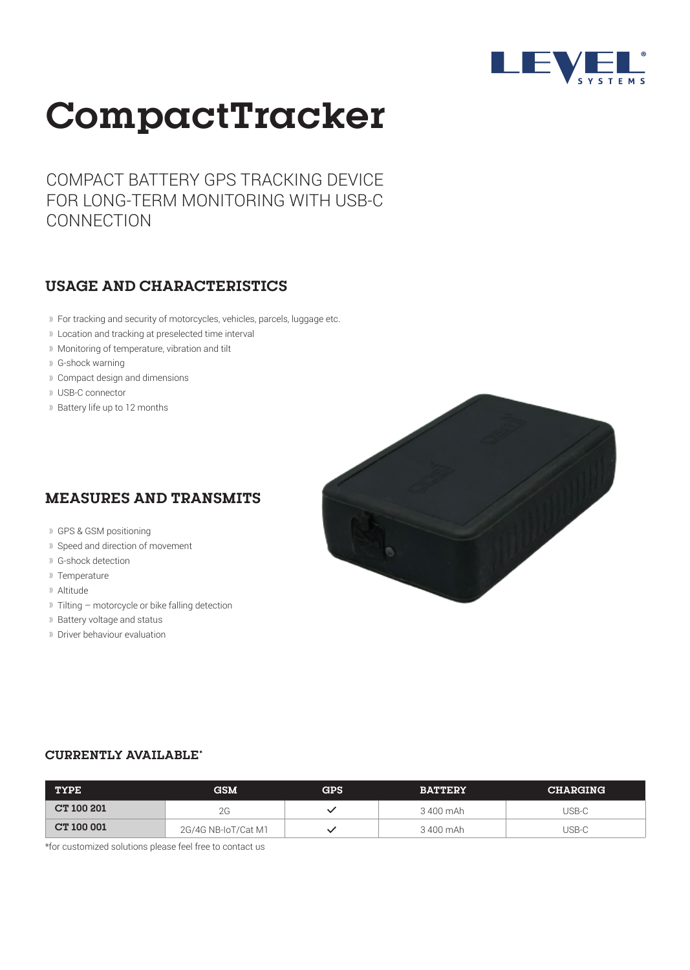

# **CompactTracker**

COMPACT BATTERY GPS TRACKING DEVICE FOR LONG-TERM MONITORING WITH USB-C **CONNECTION** 

#### **USAGE AND CHARACTERISTICS**

- For tracking and security of motorcycles, vehicles, parcels, luggage etc.
- Location and tracking at preselected time interval
- Monitoring of temperature, vibration and tilt
- G-shock warning
- Compact design and dimensions
- USB-C connector
- Battery life up to 12 months

### **MEASURES AND TRANSMITS**

- GPS & GSM positioning
- **II** Speed and direction of movement
- G-shock detection
- Temperature
- Altitude
- $\mathbb{R}$  Tilting motorcycle or bike falling detection
- **Battery voltage and status**
- Driver behaviour evaluation



#### **CURRENTLY AVAILABLE\***

| <b>TYPE</b>       | <b>GSM</b>          | GPS | <b>BATTERY</b> | <b>CHARGING</b> |
|-------------------|---------------------|-----|----------------|-----------------|
| <b>CT 100 201</b> | 2G                  |     | 3 400 mAh      | USB-C           |
| <b>CT 100 001</b> | 2G/4G NB-IoT/Cat M1 |     | 3 400 mAh      | USB-C           |

\*for customized solutions please feel free to contact us